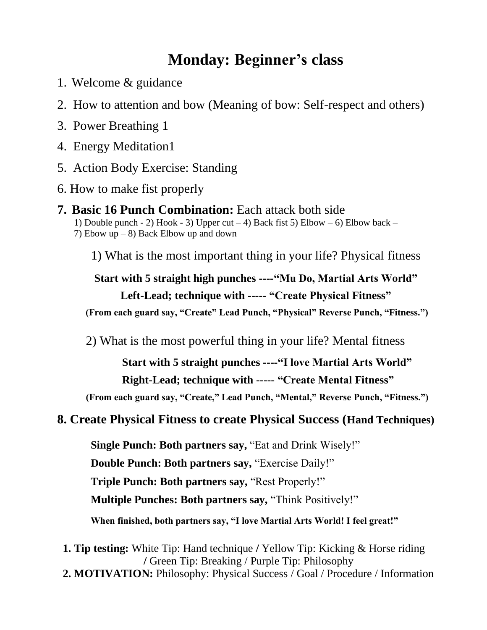## **Monday: Beginner's class**

- 1. Welcome & guidance
- 2.How to attention and bow (Meaning of bow: Self-respect and others)
- 3. Power Breathing 1
- 4. Energy Meditation1
- 5. Action Body Exercise: Standing
- 6. How to make fist properly
- **7. Basic 16 Punch Combination:** Each attack both side 1) Double punch - 2) Hook - 3) Upper cut  $-$  4) Back fist 5) Elbow  $-$  6) Elbow back  $-$ 7) Ebow up  $-8$ ) Back Elbow up and down

1) What is the most important thing in your life? Physical fitness

**Start with 5 straight high punches ----"Mu Do, Martial Arts World" Left-Lead; technique with ----- "Create Physical Fitness" (From each guard say, "Create" Lead Punch, "Physical" Reverse Punch, "Fitness.")**

2) What is the most powerful thing in your life? Mental fitness

 **Start with 5 straight punches ----"I love Martial Arts World" Right-Lead; technique with ----- "Create Mental Fitness"**

**(From each guard say, "Create," Lead Punch, "Mental," Reverse Punch, "Fitness.")**

#### **8. Create Physical Fitness to create Physical Success (Hand Techniques)**

 **Single Punch: Both partners say,** "Eat and Drink Wisely!"

 **Double Punch: Both partners say,** "Exercise Daily!"

 **Triple Punch: Both partners say,** "Rest Properly!"

 **Multiple Punches: Both partners say,** "Think Positively!"

 **When finished, both partners say, "I love Martial Arts World! I feel great!"**

 **1. Tip testing:** White Tip: Hand technique **/** Yellow Tip: Kicking & Horse riding **/** Green Tip: Breaking / Purple Tip: Philosophy  **2. MOTIVATION:** Philosophy: Physical Success / Goal / Procedure / Information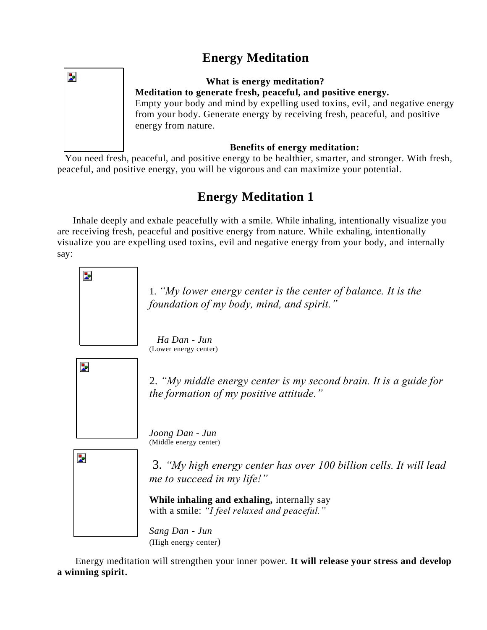### **Energy Meditation**

Þ.

#### **What is energy meditation? Meditation to generate fresh, peaceful, and positive energy.**

Empty your body and mind by expelling used toxins, evil, and negative energy from your body. Generate energy by receiving fresh, peaceful, and positive energy from nature.

#### **Benefits of energy meditation:**

 You need fresh, peaceful, and positive energy to be healthier, smarter, and stronger. With fresh, peaceful, and positive energy, you will be vigorous and can maximize your potential.

### **Energy Meditation 1**

 Inhale deeply and exhale peacefully with a smile. While inhaling, intentionally visualize you are receiving fresh, peaceful and positive energy from nature. While exhaling, intentionally visualize you are expelling used toxins, evil and negative energy from your body, and internally say:



Energy meditation will strengthen your inner power. **It will release your stress and develop a winning spirit.**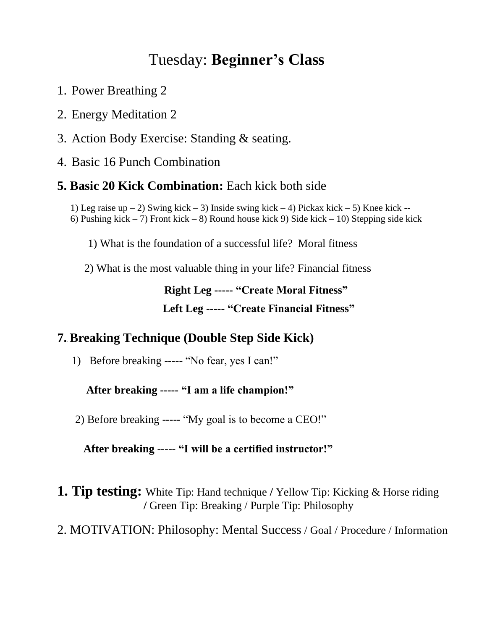## Tuesday: **Beginner's Class**

- 1. Power Breathing 2
- 2. Energy Meditation 2
- 3. Action Body Exercise: Standing & seating.
- 4. Basic 16 Punch Combination

#### **5. Basic 20 Kick Combination:** Each kick both side

1) Leg raise up – 2) Swing kick – 3) Inside swing kick – 4) Pickax kick – 5) Knee kick – 6) Pushing kick – 7) Front kick – 8) Round house kick 9) Side kick – 10) Stepping side kick

1) What is the foundation of a successful life? Moral fitness

2) What is the most valuable thing in your life? Financial fitness

### **Right Leg ----- "Create Moral Fitness" Left Leg ----- "Create Financial Fitness"**

### **7.**. **Breaking Technique (Double Step Side Kick)**

1) Before breaking ----- "No fear, yes I can!"

#### **After breaking ----- "I am a life champion!"**

2) Before breaking ----- "My goal is to become a CEO!"

#### **After breaking ----- "I will be a certified instructor!"**

**1. Tip testing:** White Tip: Hand technique **/** Yellow Tip: Kicking & Horse riding  **/** Green Tip: Breaking / Purple Tip: Philosophy

#### 2. MOTIVATION: Philosophy: Mental Success / Goal / Procedure / Information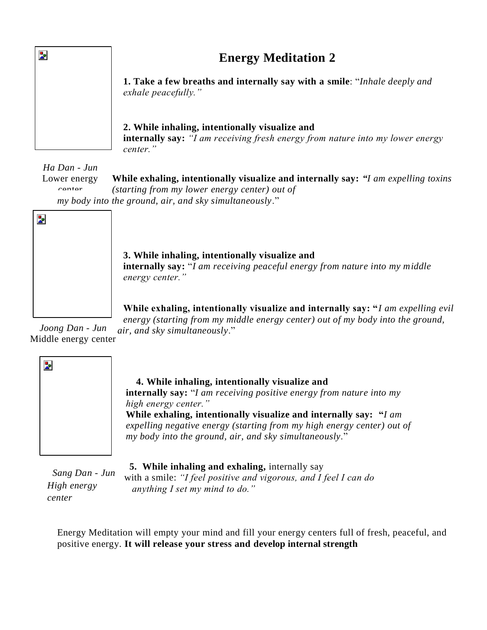#### **Energy Meditation 2**

**1. Take a few breaths and internally say with a smile**: "*Inhale deeply and exhale peacefully."*

#### **2. While inhaling, intentionally visualize and**

**internally say:** *"I am receiving fresh energy from nature into my lower energy center."*

*Ha Dan - Jun* 

Þ.

**While exhaling, intentionally visualize and internally say:** *"I am expelling toxins (starting from my lower energy center) out of my body into the ground, air, and sky simultaneously*." Lower energy contor



**3. While inhaling, intentionally visualize and internally say:** "*I am receiving peaceful energy from nature into my middle energy center."*

**While exhaling, intentionally visualize and internally say: "***I am expelling evil energy (starting from my middle energy center) out of my body into the ground, air, and sky simultaneously*."

*Joong Dan - Jun*  Middle energy center



#### **4. While inhaling, intentionally visualize and**

**internally say:** "*I am receiving positive energy from nature into my high energy center."* **While exhaling, intentionally visualize and internally say: "***I am expelling negative energy (starting from my high energy center) out of my body into the ground, air, and sky simultaneously*."

 *Sang Dan - Jun High energy center*

 **5. While inhaling and exhaling,** internally say

with a smile: *"I feel positive and vigorous, and I feel I can do anything I set my mind to do."* 

Energy Meditation will empty your mind and fill your energy centers full of fresh, peaceful, and positive energy. **It will release your stress and develop internal strength**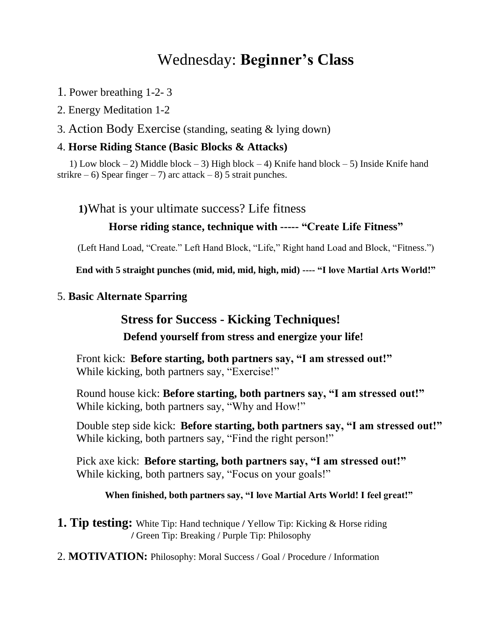## Wednesday: **Beginner's Class**

- 1. Power breathing 1-2- 3
- 2. Energy Meditation 1-2
- 3. Action Body Exercise (standing, seating & lying down)

#### 4. **Horse Riding Stance (Basic Blocks & Attacks)**

 1) Low block – 2) Middle block – 3) High block – 4) Knife hand block – 5) Inside Knife hand strikre – 6) Spear finger – 7) arc attack – 8) 5 strait punches.

#### **1)**What is your ultimate success? Life fitness

#### **Horse riding stance, technique with ----- "Create Life Fitness"**

(Left Hand Load, "Create." Left Hand Block, "Life," Right hand Load and Block, "Fitness.")

**End with 5 straight punches (mid, mid, mid, high, mid) ---- "I love Martial Arts World!"**

#### 5. **Basic Alternate Sparring**

#### **Stress for Success - Kicking Techniques!**

#### **Defend yourself from stress and energize your life!**

Front kick: **Before starting, both partners say, "I am stressed out!"** While kicking, both partners say, "Exercise!"

Round house kick: **Before starting, both partners say, "I am stressed out!"** While kicking, both partners say, "Why and How!"

Double step side kick: **Before starting, both partners say, "I am stressed out!"** While kicking, both partners say, "Find the right person!"

Pick axe kick: **Before starting, both partners say, "I am stressed out!"** While kicking, both partners say, "Focus on your goals!"

 **When finished, both partners say, "I love Martial Arts World! I feel great!"**

- **1. Tip testing:** White Tip: Hand technique **/** Yellow Tip: Kicking & Horse riding  **/** Green Tip: Breaking / Purple Tip: Philosophy
- 2. **MOTIVATION:** Philosophy: Moral Success / Goal / Procedure / Information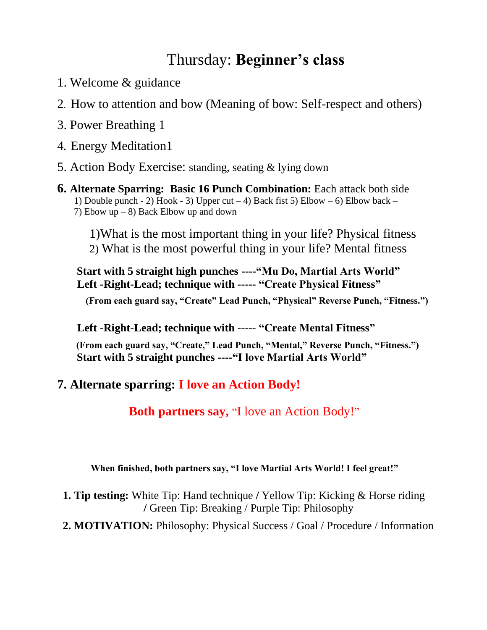## Thursday: **Beginner's class**

- 1. Welcome & guidance
- 2.How to attention and bow (Meaning of bow: Self-respect and others)
- 3. Power Breathing 1
- 4**.** Energy Meditation1
- 5. Action Body Exercise: standing, seating & lying down
- **6. Alternate Sparring: Basic 16 Punch Combination:** Each attack both side 1) Double punch - 2) Hook - 3) Upper cut  $-4$ ) Back fist 5) Elbow  $-6$ ) Elbow back  $-$  7) Ebow up – 8) Back Elbow up and down
	- 1)What is the most important thing in your life? Physical fitness 2) What is the most powerful thing in your life? Mental fitness

 **Start with 5 straight high punches ----"Mu Do, Martial Arts World" Left -Right-Lead; technique with ----- "Create Physical Fitness"** 

**(From each guard say, "Create" Lead Punch, "Physical" Reverse Punch, "Fitness.")**

 **Left -Right-Lead; technique with ----- "Create Mental Fitness"**

 **(From each guard say, "Create," Lead Punch, "Mental," Reverse Punch, "Fitness.") Start with 5 straight punches ----"I love Martial Arts World"**

#### **7. Alternate sparring: I love an Action Body!**

**Both partners say,** "I love an Action Body!"

#### **When finished, both partners say, "I love Martial Arts World! I feel great!"**

- **1. Tip testing:** White Tip: Hand technique **/** Yellow Tip: Kicking & Horse riding **/** Green Tip: Breaking / Purple Tip: Philosophy
- **2. MOTIVATION:** Philosophy: Physical Success / Goal / Procedure / Information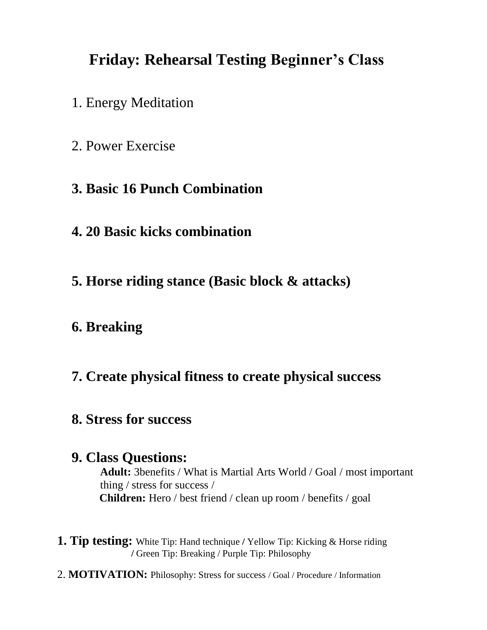## **Friday: Rehearsal Testing Beginner's Class**

- 1. Energy Meditation
- 2. Power Exercise
- **3. Basic 16 Punch Combination**
- **4. 20 Basic kicks combination**
- **5. Horse riding stance (Basic block & attacks)**

### **6. Breaking**

### **7. Create physical fitness to create physical success**

#### **8. Stress for success**

#### **9. Class Questions:**

**Adult:** 3benefits / What is Martial Arts World / Goal / most important thing / stress for success /  **Children:** Hero / best friend / clean up room / benefits / goal

- **1. Tip testing:** White Tip: Hand technique **/** Yellow Tip: Kicking & Horse riding  **/** Green Tip: Breaking / Purple Tip: Philosophy
- 2. **MOTIVATION:** Philosophy: Stress for success / Goal / Procedure / Information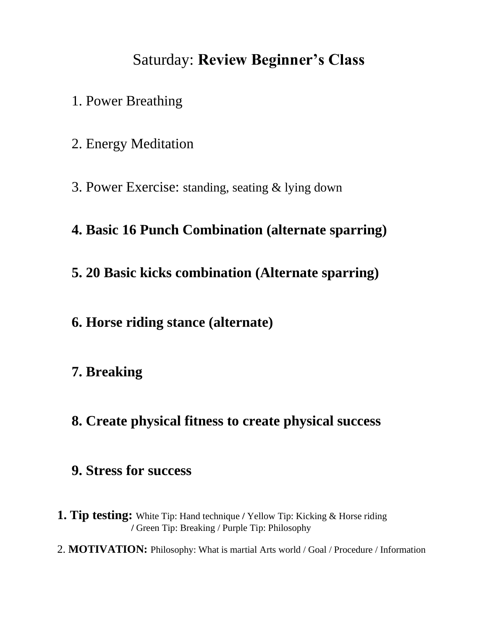## Saturday: **Review Beginner's Class**

- 1. Power Breathing
- 2. Energy Meditation
- 3. Power Exercise: standing, seating & lying down

### **4. Basic 16 Punch Combination (alternate sparring)**

**5. 20 Basic kicks combination (Alternate sparring)**

### **6. Horse riding stance (alternate)**

### **7. Breaking**

**8. Create physical fitness to create physical success**

#### **9. Stress for success**

- **1. Tip testing:** White Tip: Hand technique **/** Yellow Tip: Kicking & Horse riding  **/** Green Tip: Breaking / Purple Tip: Philosophy
- 2. **MOTIVATION:** Philosophy: What is martial Arts world / Goal / Procedure / Information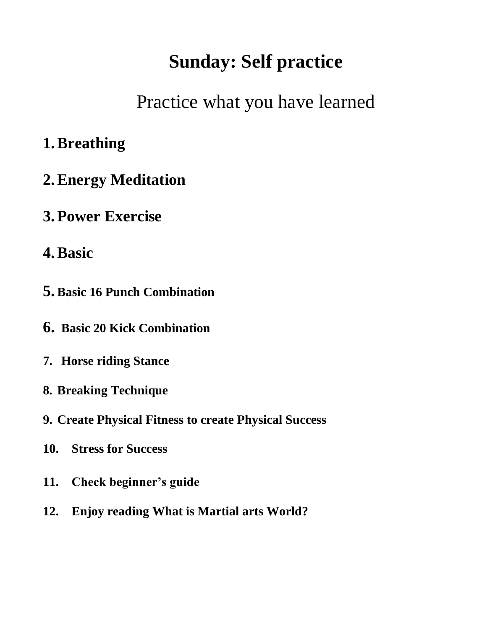# **Sunday: Self practice**

Practice what you have learned

## **1.Breathing**

- **2.Energy Meditation**
- **3.Power Exercise**
- **4.Basic**
- **5. Basic 16 Punch Combination**
- **6. Basic 20 Kick Combination**
- **7. Horse riding Stance**
- **8. Breaking Technique**
- **9. Create Physical Fitness to create Physical Success**
- **10. Stress for Success**
- **11. Check beginner's guide**
- **12. Enjoy reading What is Martial arts World?**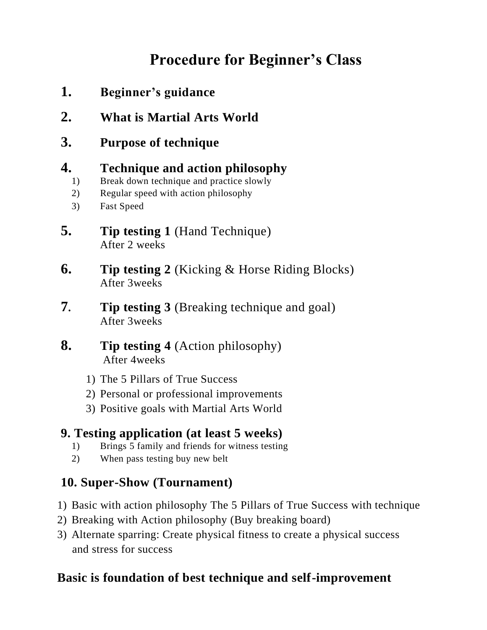## **Procedure for Beginner's Class**

- **1. Beginner's guidance**
- **2. What is Martial Arts World**
- **3. Purpose of technique**

#### **4. Technique and action philosophy**

- 1) Break down technique and practice slowly
- 2) Regular speed with action philosophy
- 3) Fast Speed
- **5. Tip testing 1** (Hand Technique) After 2 weeks
- **6. Tip testing 2** (Kicking & Horse Riding Blocks) After 3weeks
- **7. Tip testing 3** (Breaking technique and goal) After 3weeks
- **8. Tip testing 4** (Action philosophy) After 4weeks
	- 1) The 5 Pillars of True Success
	- 2) Personal or professional improvements
	- 3) Positive goals with Martial Arts World

### **9. Testing application (at least 5 weeks)**

- 1) Brings 5 family and friends for witness testing
- 2) When pass testing buy new belt

### **10. Super-Show (Tournament)**

- 1) Basic with action philosophy The 5 Pillars of True Success with technique
- 2) Breaking with Action philosophy (Buy breaking board)
- 3) Alternate sparring: Create physical fitness to create a physical success and stress for success

### **Basic is foundation of best technique and self-improvement**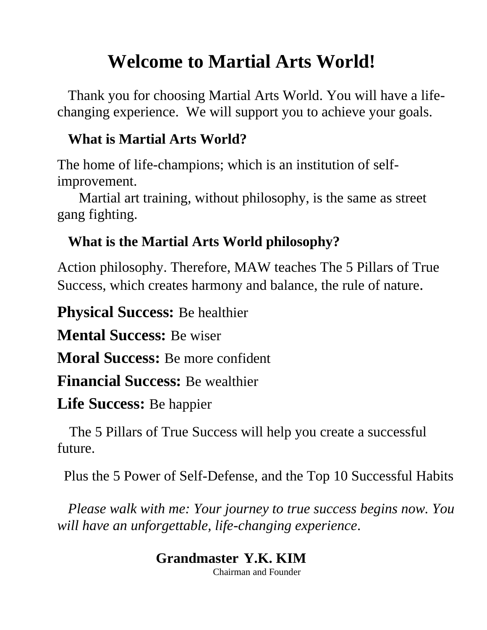# **Welcome to Martial Arts World!**

 Thank you for choosing Martial Arts World. You will have a lifechanging experience. We will support you to achieve your goals.

### **What is Martial Arts World?**

The home of life-champions; which is an institution of selfimprovement.

 Martial art training, without philosophy, is the same as street gang fighting.

## **What is the Martial Arts World philosophy?**

Action philosophy. Therefore, MAW teaches The 5 Pillars of True Success, which creates harmony and balance, the rule of nature.

**Physical Success:** Be healthier

**Mental Success:** Be wiser

**Moral Success:** Be more confident

**Financial Success:** Be wealthier

**Life Success:** Be happier

 The 5 Pillars of True Success will help you create a successful future.

Plus the 5 Power of Self-Defense, and the Top 10 Successful Habits

 *Please walk with me: Your journey to true success begins now. You will have an unforgettable, life-changing experience*.

## **Grandmaster Y.K. KIM**

Chairman and Founder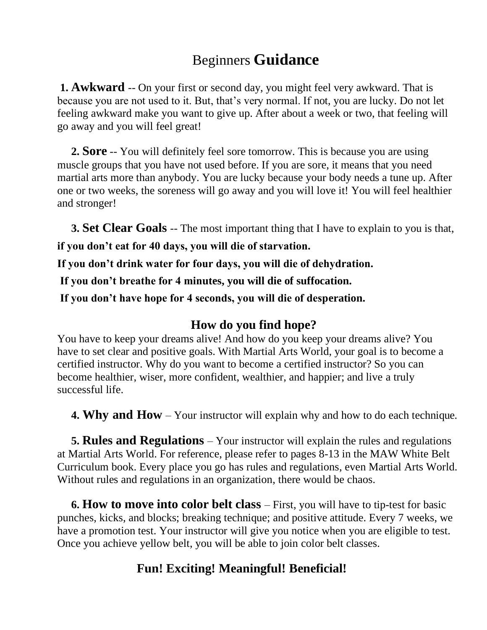### Beginners **Guidance**

**1. Awkward** -- On your first or second day, you might feel very awkward. That is because you are not used to it. But, that's very normal. If not, you are lucky. Do not let feeling awkward make you want to give up. After about a week or two, that feeling will go away and you will feel great!

 **2. Sore** -- You will definitely feel sore tomorrow. This is because you are using muscle groups that you have not used before. If you are sore, it means that you need martial arts more than anybody. You are lucky because your body needs a tune up. After one or two weeks, the soreness will go away and you will love it! You will feel healthier and stronger!

**3. Set Clear Goals** -- The most important thing that I have to explain to you is that,

**if you don't eat for 40 days, you will die of starvation.** 

**If you don't drink water for four days, you will die of dehydration.**

**If you don't breathe for 4 minutes, you will die of suffocation.**

**If you don't have hope for 4 seconds, you will die of desperation.**

#### **How do you find hope?**

You have to keep your dreams alive! And how do you keep your dreams alive? You have to set clear and positive goals. With Martial Arts World, your goal is to become a certified instructor. Why do you want to become a certified instructor? So you can become healthier, wiser, more confident, wealthier, and happier; and live a truly successful life.

**4. Why and How** – Your instructor will explain why and how to do each technique.

 **5. Rules and Regulations** – Your instructor will explain the rules and regulations at Martial Arts World. For reference, please refer to pages 8-13 in the MAW White Belt Curriculum book. Every place you go has rules and regulations, even Martial Arts World. Without rules and regulations in an organization, there would be chaos.

 **6. How to move into color belt class** – First, you will have to tip-test for basic punches, kicks, and blocks; breaking technique; and positive attitude. Every 7 weeks, we have a promotion test. Your instructor will give you notice when you are eligible to test. Once you achieve yellow belt, you will be able to join color belt classes.

### **Fun! Exciting! Meaningful! Beneficial!**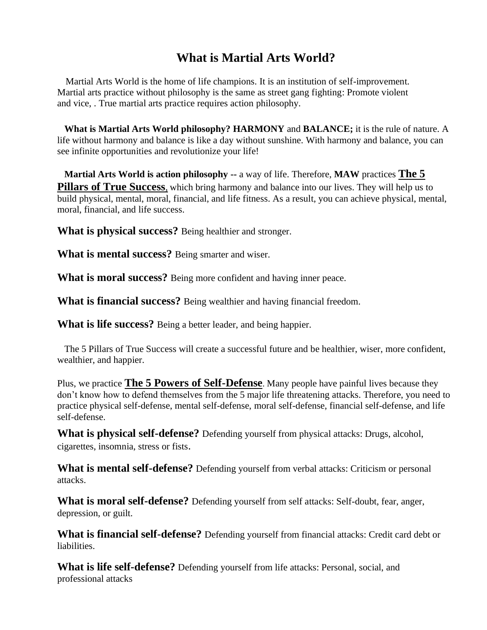#### **What is Martial Arts World?**

 Martial Arts World is the home of life champions. It is an institution of self-improvement. Martial arts practice without philosophy is the same as street gang fighting: Promote violent and vice, . True martial arts practice requires action philosophy.

 **What is Martial Arts World philosophy? HARMONY** and **BALANCE;** it is the rule of nature. A life without harmony and balance is like a day without sunshine. With harmony and balance, you can see infinite opportunities and revolutionize your life!

 **Martial Arts World is action philosophy --** a way of life. Therefore, **MAW** practices **The 5 Pillars of True Success**, which bring harmony and balance into our lives. They will help us to build physical, mental, moral, financial, and life fitness. As a result, you can achieve physical, mental, moral, financial, and life success.

**What is physical success?** Being healthier and stronger.

**What is mental success?** Being smarter and wiser.

**What is moral success?** Being more confident and having inner peace.

**What is financial success?** Being wealthier and having financial freedom.

**What is life success?** Being a better leader, and being happier.

 The 5 Pillars of True Success will create a successful future and be healthier, wiser, more confident, wealthier, and happier.

Plus, we practice **The 5 Powers of Self-Defense**. Many people have painful lives because they don't know how to defend themselves from the 5 major life threatening attacks. Therefore, you need to practice physical self-defense, mental self-defense, moral self-defense, financial self-defense, and life self-defense.

**What is physical self-defense?** Defending yourself from physical attacks: Drugs, alcohol, cigarettes, insomnia, stress or fists.

**What is mental self-defense?** Defending yourself from verbal attacks: Criticism or personal attacks.

**What is moral self-defense?** Defending yourself from self attacks: Self-doubt, fear, anger, depression, or guilt.

**What is financial self-defense?** Defending yourself from financial attacks: Credit card debt or liabilities.

**What is life self-defense?** Defending yourself from life attacks: Personal, social, and professional attacks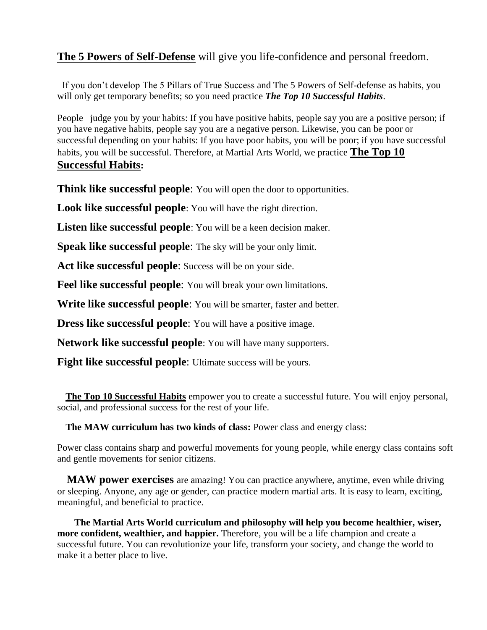#### **The 5 Powers of Self-Defense** will give you life-confidence and personal freedom.

 If you don't develop The 5 Pillars of True Success and The 5 Powers of Self-defense as habits, you will only get temporary benefits; so you need practice *The Top 10 Successful Habits*.

People judge you by your habits: If you have positive habits, people say you are a positive person; if you have negative habits, people say you are a negative person. Likewise, you can be poor or successful depending on your habits: If you have poor habits, you will be poor; if you have successful habits, you will be successful. Therefore, at Martial Arts World, we practice **The Top 10 Successful Habits:** 

**Think like successful people**: You will open the door to opportunities.

**Look like successful people**: You will have the right direction.

**Listen like successful people**: You will be a keen decision maker.

**Speak like successful people:** The sky will be your only limit.

**Act like successful people**: Success will be on your side.

**Feel like successful people**: You will break your own limitations.

**Write like successful people**: You will be smarter, faster and better.

**Dress like successful people**: You will have a positive image.

**Network like successful people**: You will have many supporters.

**Fight like successful people:** Ultimate success will be yours.

**The Top 10 Successful Habits** empower you to create a successful future. You will enjoy personal, social, and professional success for the rest of your life.

**The MAW curriculum has two kinds of class:** Power class and energy class:

Power class contains sharp and powerful movements for young people, while energy class contains soft and gentle movements for senior citizens.

 **MAW power exercises** are amazing! You can practice anywhere, anytime, even while driving or sleeping. Anyone, any age or gender, can practice modern martial arts. It is easy to learn, exciting, meaningful, and beneficial to practice.

 **The Martial Arts World curriculum and philosophy will help you become healthier, wiser, more confident, wealthier, and happier.** Therefore, you will be a life champion and create a successful future. You can revolutionize your life, transform your society, and change the world to make it a better place to live.